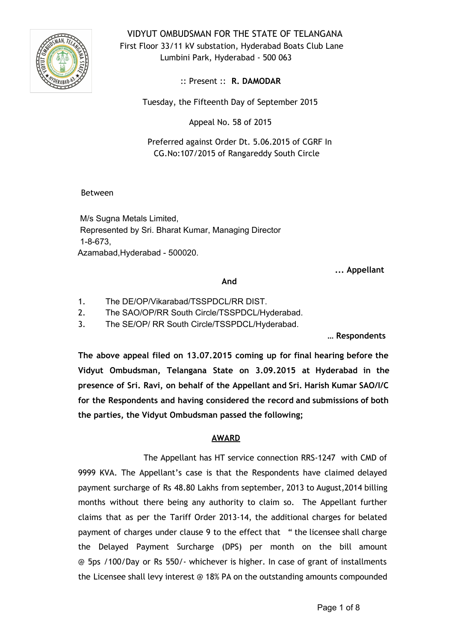

VIDYUT OMBUDSMAN FOR THE STATE OF TELANGANA First Floor 33/11 kV substation, Hyderabad Boats Club Lane Lumbini Park, Hyderabad - 500 063

:: Present :: **R. DAMODAR**

Tuesday, the Fifteenth Day of September 2015

Appeal No. 58 of 2015

Preferred against Order Dt. 5.06.2015 of CGRF In CG.No:107/2015 of Rangareddy South Circle

## Between

M/s Sugna Metals Limited, Represented by Sri. Bharat Kumar, Managing Director  $1 - 8 - 673$ , Azamabad, Hyderabad - 500020.

**... Appellant**

#### **And**

- 1. The DE/OP/Vikarabad/TSSPDCL/RR DIST.
- 2. The SAO/OP/RR South Circle/TSSPDCL/Hyderabad.

3. The SE/OP/ RR South Circle/TSSPDCL/Hyderabad.

**… Respondents**

**The above appeal filed on 13.07.2015 coming up for final hearing before the Vidyut Ombudsman, Telangana State on 3.09.2015 at Hyderabad in the presence of Sri. Ravi, on behalf of the Appellant and Sri. Harish Kumar SAO/I/C for the Respondents and having considered the record and submissions of both the parties, the Vidyut Ombudsman passed the following;**

# **AWARD**

The Appellant has HT service connection RRS-1247 with CMD of 9999 KVA. The Appellant's case is that the Respondents have claimed delayed payment surcharge of Rs 48.80 Lakhs from september, 2013 to August,2014 billing months without there being any authority to claim so. The Appellant further claims that as per the Tariff Order 2013-14, the additional charges for belated payment of charges under clause 9 to the effect that " the licensee shall charge the Delayed Payment Surcharge (DPS) per month on the bill amount @ 5ps /100/Day or Rs 550/- whichever is higher. In case of grant of installments the Licensee shall levy interest @ 18% PA on the outstanding amounts compounded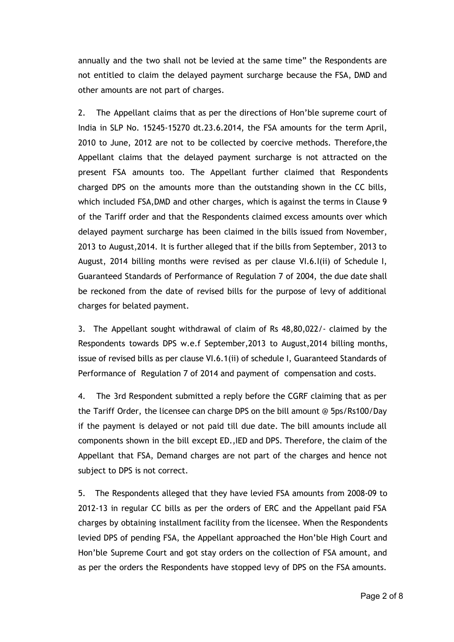annually and the two shall not be levied at the same time" the Respondents are not entitled to claim the delayed payment surcharge because the FSA, DMD and other amounts are not part of charges.

2. The Appellant claims that as per the directions of Hon'ble supreme court of India in SLP No. 15245-15270 dt.23.6.2014, the FSA amounts for the term April, 2010 to June, 2012 are not to be collected by coercive methods. Therefore,the Appellant claims that the delayed payment surcharge is not attracted on the present FSA amounts too. The Appellant further claimed that Respondents charged DPS on the amounts more than the outstanding shown in the CC bills, which included FSA,DMD and other charges, which is against the terms in Clause 9 of the Tariff order and that the Respondents claimed excess amounts over which delayed payment surcharge has been claimed in the bills issued from November, 2013 to August,2014. It is further alleged that if the bills from September, 2013 to August, 2014 billing months were revised as per clause VI.6.I(ii) of Schedule I, Guaranteed Standards of Performance of Regulation 7 of 2004, the due date shall be reckoned from the date of revised bills for the purpose of levy of additional charges for belated payment.

3. The Appellant sought withdrawal of claim of Rs 48,80,022/- claimed by the Respondents towards DPS w.e.f September,2013 to August,2014 billing months, issue of revised bills as per clause VI.6.1(ii) of schedule I, Guaranteed Standards of Performance of Regulation 7 of 2014 and payment of compensation and costs.

4. The 3rd Respondent submitted a reply before the CGRF claiming that as per the Tariff Order, the licensee can charge DPS on the bill amount @ 5ps/Rs100/Day if the payment is delayed or not paid till due date. The bill amounts include all components shown in the bill except ED.,IED and DPS. Therefore, the claim of the Appellant that FSA, Demand charges are not part of the charges and hence not subject to DPS is not correct.

5. The Respondents alleged that they have levied FSA amounts from 2008-09 to 2012-13 in regular CC bills as per the orders of ERC and the Appellant paid FSA charges by obtaining installment facility from the licensee. When the Respondents levied DPS of pending FSA, the Appellant approached the Hon'ble High Court and Hon'ble Supreme Court and got stay orders on the collection of FSA amount, and as per the orders the Respondents have stopped levy of DPS on the FSA amounts.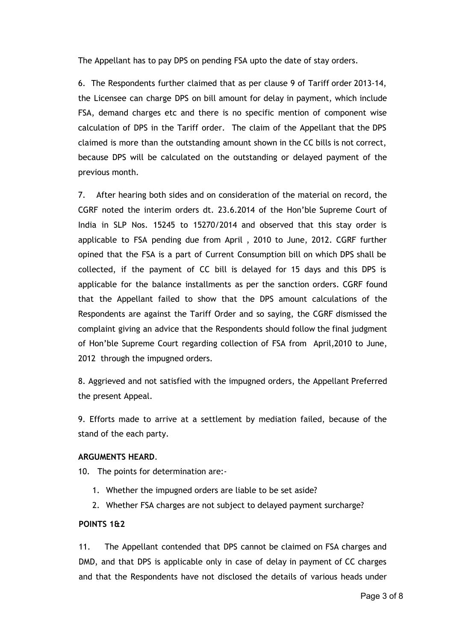The Appellant has to pay DPS on pending FSA upto the date of stay orders.

6. The Respondents further claimed that as per clause 9 of Tariff order 2013-14, the Licensee can charge DPS on bill amount for delay in payment, which include FSA, demand charges etc and there is no specific mention of component wise calculation of DPS in the Tariff order. The claim of the Appellant that the DPS claimed is more than the outstanding amount shown in the CC bills is not correct, because DPS will be calculated on the outstanding or delayed payment of the previous month.

7. After hearing both sides and on consideration of the material on record, the CGRF noted the interim orders dt. 23.6.2014 of the Hon'ble Supreme Court of India in SLP Nos. 15245 to 15270/2014 and observed that this stay order is applicable to FSA pending due from April , 2010 to June, 2012. CGRF further opined that the FSA is a part of Current Consumption bill on which DPS shall be collected, if the payment of CC bill is delayed for 15 days and this DPS is applicable for the balance installments as per the sanction orders. CGRF found that the Appellant failed to show that the DPS amount calculations of the Respondents are against the Tariff Order and so saying, the CGRF dismissed the complaint giving an advice that the Respondents should follow the final judgment of Hon'ble Supreme Court regarding collection of FSA from April,2010 to June, 2012 through the impugned orders.

8. Aggrieved and not satisfied with the impugned orders, the Appellant Preferred the present Appeal.

9. Efforts made to arrive at a settlement by mediation failed, because of the stand of the each party.

## **ARGUMENTS HEARD**.

10. The points for determination are:-

- 1. Whether the impugned orders are liable to be set aside?
- 2. Whether FSA charges are not subject to delayed payment surcharge?

## **POINTS 1&2**

11. The Appellant contended that DPS cannot be claimed on FSA charges and DMD, and that DPS is applicable only in case of delay in payment of CC charges and that the Respondents have not disclosed the details of various heads under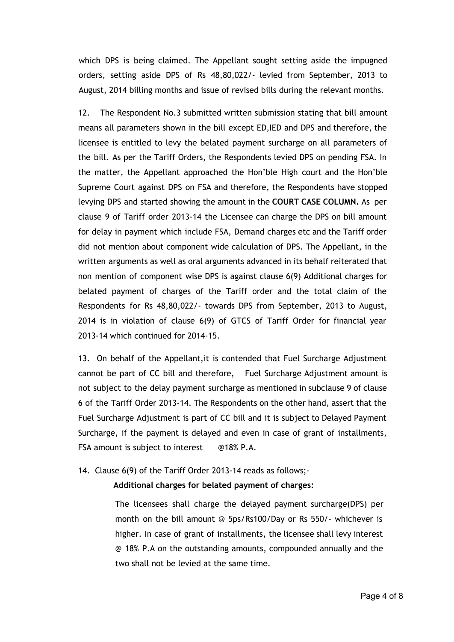which DPS is being claimed. The Appellant sought setting aside the impugned orders, setting aside DPS of Rs 48,80,022/- levied from September, 2013 to August, 2014 billing months and issue of revised bills during the relevant months.

12. The Respondent No.3 submitted written submission stating that bill amount means all parameters shown in the bill except ED,IED and DPS and therefore, the licensee is entitled to levy the belated payment surcharge on all parameters of the bill. As per the Tariff Orders, the Respondents levied DPS on pending FSA. In the matter, the Appellant approached the Hon'ble High court and the Hon'ble Supreme Court against DPS on FSA and therefore, the Respondents have stopped levying DPS and started showing the amount in the **COURT CASE COLUMN.** As per clause 9 of Tariff order 2013-14 the Licensee can charge the DPS on bill amount for delay in payment which include FSA, Demand charges etc and the Tariff order did not mention about component wide calculation of DPS. The Appellant, in the written arguments as well as oral arguments advanced in its behalf reiterated that non mention of component wise DPS is against clause 6(9) Additional charges for belated payment of charges of the Tariff order and the total claim of the Respondents for Rs 48,80,022/- towards DPS from September, 2013 to August, 2014 is in violation of clause 6(9) of GTCS of Tariff Order for financial year 2013-14 which continued for 2014-15.

13. On behalf of the Appellant,it is contended that Fuel Surcharge Adjustment cannot be part of CC bill and therefore, Fuel Surcharge Adjustment amount is not subject to the delay payment surcharge as mentioned in subclause 9 of clause 6 of the Tariff Order 2013-14. The Respondents on the other hand, assert that the Fuel Surcharge Adjustment is part of CC bill and it is subject to Delayed Payment Surcharge, if the payment is delayed and even in case of grant of installments, FSA amount is subject to interest @18% P.A.

14. Clause 6(9) of the Tariff Order 2013-14 reads as follows;-

#### **Additional charges for belated payment of charges:**

The licensees shall charge the delayed payment surcharge(DPS) per month on the bill amount @ 5ps/Rs100/Day or Rs 550/- whichever is higher. In case of grant of installments, the licensee shall levy interest @ 18% P.A on the outstanding amounts, compounded annually and the two shall not be levied at the same time.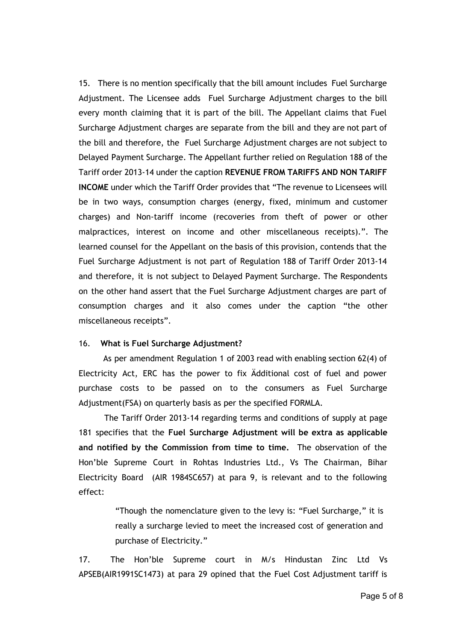15. There is no mention specifically that the bill amount includes Fuel Surcharge Adjustment. The Licensee adds Fuel Surcharge Adjustment charges to the bill every month claiming that it is part of the bill. The Appellant claims that Fuel Surcharge Adjustment charges are separate from the bill and they are not part of the bill and therefore, the Fuel Surcharge Adjustment charges are not subject to Delayed Payment Surcharge. The Appellant further relied on Regulation 188 of the Tariff order 2013-14 under the caption **REVENUE FROM TARIFFS AND NON TARIFF INCOME** under which the Tariff Order provides that "The revenue to Licensees will be in two ways, consumption charges (energy, fixed, minimum and customer charges) and Non-tariff income (recoveries from theft of power or other malpractices, interest on income and other miscellaneous receipts).". The learned counsel for the Appellant on the basis of this provision, contends that the Fuel Surcharge Adjustment is not part of Regulation 188 of Tariff Order 2013-14 and therefore, it is not subject to Delayed Payment Surcharge. The Respondents on the other hand assert that the Fuel Surcharge Adjustment charges are part of consumption charges and it also comes under the caption "the other miscellaneous receipts".

#### 16. **What is Fuel Surcharge Adjustment?**

As per amendment Regulation 1 of 2003 read with enabling section 62(4) of Electricity Act, ERC has the power to fix Ädditional cost of fuel and power purchase costs to be passed on to the consumers as Fuel Surcharge Adjustment(FSA) on quarterly basis as per the specified FORMLA.

The Tariff Order 2013-14 regarding terms and conditions of supply at page 181 specifies that the **Fuel Surcharge Adjustment will be extra as applicable and notified by the Commission from time to time.** The observation of the Hon'ble Supreme Court in Rohtas Industries Ltd., Vs The Chairman, Bihar Electricity Board (AIR 1984SC657) at para 9, is relevant and to the following effect:

> "Though the nomenclature given to the levy is: "Fuel Surcharge," it is really a surcharge levied to meet the increased cost of generation and purchase of Electricity."

17. The Hon'ble Supreme court in M/s Hindustan Zinc Ltd Vs APSEB(AIR1991SC1473) at para 29 opined that the Fuel Cost Adjustment tariff is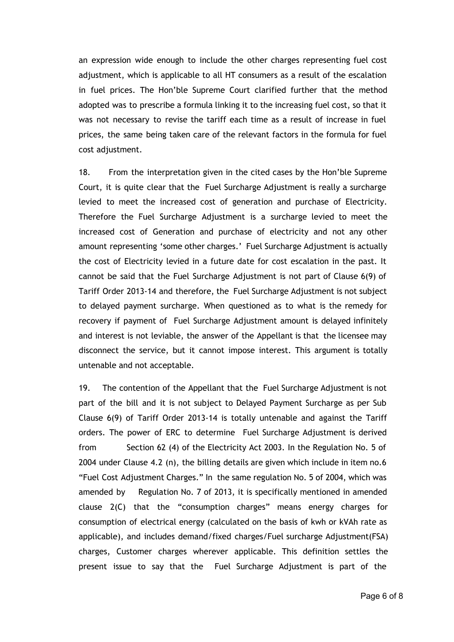an expression wide enough to include the other charges representing fuel cost adjustment, which is applicable to all HT consumers as a result of the escalation in fuel prices. The Hon'ble Supreme Court clarified further that the method adopted was to prescribe a formula linking it to the increasing fuel cost, so that it was not necessary to revise the tariff each time as a result of increase in fuel prices, the same being taken care of the relevant factors in the formula for fuel cost adjustment.

18. From the interpretation given in the cited cases by the Hon'ble Supreme Court, it is quite clear that the Fuel Surcharge Adjustment is really a surcharge levied to meet the increased cost of generation and purchase of Electricity. Therefore the Fuel Surcharge Adjustment is a surcharge levied to meet the increased cost of Generation and purchase of electricity and not any other amount representing 'some other charges.' Fuel Surcharge Adjustment is actually the cost of Electricity levied in a future date for cost escalation in the past. It cannot be said that the Fuel Surcharge Adjustment is not part of Clause 6(9) of Tariff Order 2013-14 and therefore, the Fuel Surcharge Adjustment is not subject to delayed payment surcharge. When questioned as to what is the remedy for recovery if payment of Fuel Surcharge Adjustment amount is delayed infinitely and interest is not leviable, the answer of the Appellant is that the licensee may disconnect the service, but it cannot impose interest. This argument is totally untenable and not acceptable.

19. The contention of the Appellant that the Fuel Surcharge Adjustment is not part of the bill and it is not subject to Delayed Payment Surcharge as per Sub Clause 6(9) of Tariff Order 2013-14 is totally untenable and against the Tariff orders. The power of ERC to determine Fuel Surcharge Adjustment is derived from Section 62 (4) of the Electricity Act 2003. In the Regulation No. 5 of 2004 under Clause 4.2 (n), the billing details are given which include in item no.6 "Fuel Cost Adjustment Charges." In the same regulation No. 5 of 2004, which was amended by Regulation No. 7 of 2013, it is specifically mentioned in amended clause 2(C) that the "consumption charges" means energy charges for consumption of electrical energy (calculated on the basis of kwh or kVAh rate as applicable), and includes demand/fixed charges/Fuel surcharge Adjustment(FSA) charges, Customer charges wherever applicable. This definition settles the present issue to say that the Fuel Surcharge Adjustment is part of the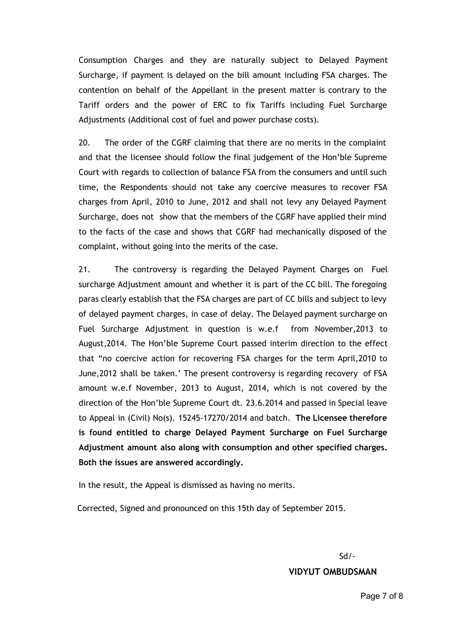Consumption Charges and they are naturally subject to Delayed Payment Surcharge, if payment is delayed on the bill amount including FSA charges. The contention on behalf of the Appellant in the present matter is contrary to the Tariff orders and the power of ERC to fix Tariffs including Fuel Surcharge Adjustments (Additional cost of fuel and power purchase costs).

20. The order of the CGRF claiming that there are no merits in the complaint and that the licensee should follow the final judgement of the Hon'ble Supreme Court with regards to collection of balance FSA from the consumers and until such time, the Respondents should not take any coercive measures to recover FSA charges from April, 2010 to June, 2012 and shall not levy any Delayed Payment Surcharge, does not show that the members of the CGRF have applied their mind to the facts of the case and shows that CGRF had mechanically disposed of the complaint, without going into the merits of the case.

21. The controversy is regarding the Delayed Payment Charges on Fuel surcharge Adjustment amount and whether it is part of the CC bill. The foregoing paras clearly establish that the FSA charges are part of CC bills and subject to levy of delayed payment charges, in case of delay. The Delayed payment surcharge on Fuel Surcharge Adjustment in question is w.e.f from November,2013 to August,2014. The Hon'ble Supreme Court passed interim direction to the effect that "no coercive action for recovering FSA charges for the term April,2010 to June,2012 shall be taken.' The present controversy is regarding recovery of FSA amount w.e.f November, 2013 to August, 2014, which is not covered by the direction of the Hon'ble Supreme Court dt. 23.6.2014 and passed in Special leave to Appeal in (Civil) No(s). 15245-17270/2014 and batch. **The Licensee therefore is found entitled to charge Delayed Payment Surcharge on Fuel Surcharge Adjustment amount also along with consumption and other specified charges. Both the issues are answered accordingly.**

In the result, the Appeal is dismissed as having no merits.

Corrected, Signed and pronounced on this 15th day of September 2015.

# Sd/- **VIDYUT OMBUDSMAN**